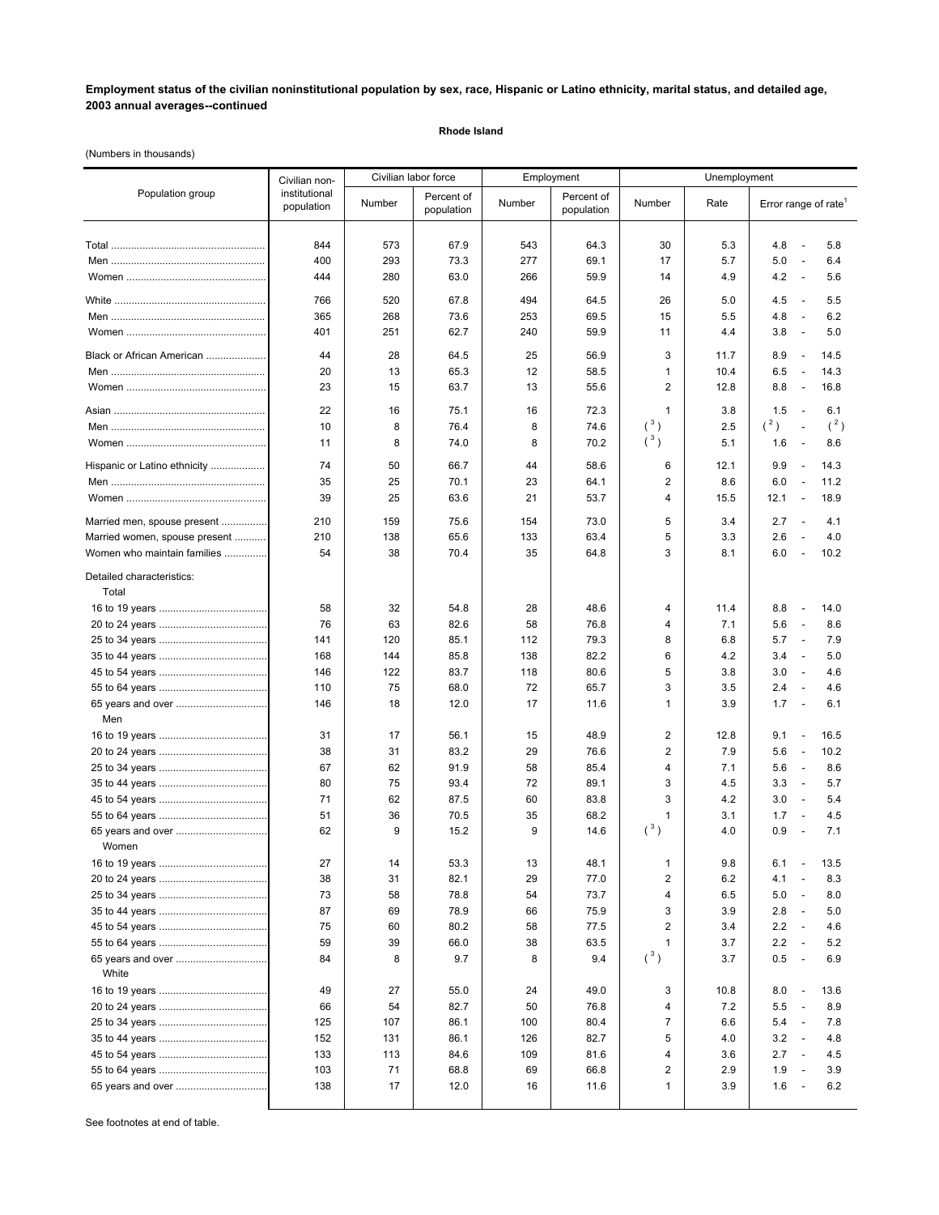## **Employment status of the civilian noninstitutional population by sex, race, Hispanic or Latino ethnicity, marital status, and detailed age, 2003 annual averages--continued**

**Rhode Island**

(Numbers in thousands)

| Population group                   | Civilian non-<br>institutional<br>population | Civilian labor force |                          | Employment |                          | Unemployment   |            |                                                                           |
|------------------------------------|----------------------------------------------|----------------------|--------------------------|------------|--------------------------|----------------|------------|---------------------------------------------------------------------------|
|                                    |                                              | Number               | Percent of<br>population | Number     | Percent of<br>population | Number         | Rate       | Error range of rate <sup>1</sup>                                          |
|                                    | 844                                          | 573                  | 67.9                     | 543        | 64.3                     | 30             | 5.3        | 4.8<br>5.8<br>$\overline{\phantom{a}}$                                    |
|                                    | 400                                          | 293                  | 73.3                     | 277        | 69.1                     | 17             | 5.7        | 5.0<br>$\overline{\phantom{a}}$<br>6.4                                    |
|                                    | 444                                          | 280                  | 63.0                     | 266        | 59.9                     | 14             | 4.9        | 4.2<br>5.6<br>$\overline{\phantom{a}}$                                    |
|                                    |                                              | 520                  | 67.8                     | 494        | 64.5                     | 26             |            | 4.5<br>5.5<br>$\overline{\phantom{a}}$                                    |
|                                    | 766<br>365                                   | 268                  | 73.6                     | 253        | 69.5                     | 15             | 5.0<br>5.5 | 4.8<br>6.2<br>$\overline{\phantom{a}}$                                    |
|                                    | 401                                          | 251                  | 62.7                     | 240        | 59.9                     | 11             | 4.4        | 3.8<br>5.0<br>$\overline{\phantom{a}}$                                    |
| Black or African American          |                                              |                      |                          |            |                          |                |            |                                                                           |
|                                    | 44                                           | 28                   | 64.5                     | 25         | 56.9                     | 3              | 11.7       | 8.9<br>14.5<br>$\overline{\phantom{a}}$                                   |
|                                    | 20                                           | 13                   | 65.3                     | 12         | 58.5                     | 1              | 10.4       | 6.5<br>14.3<br>$\overline{\phantom{a}}$                                   |
|                                    | 23                                           | 15                   | 63.7                     | 13         | 55.6                     | 2              | 12.8       | 8.8<br>16.8<br>$\overline{\phantom{a}}$                                   |
|                                    | 22                                           | 16                   | 75.1                     | 16         | 72.3                     | 1              | 3.8        | 1.5<br>$\overline{\phantom{a}}$<br>6.1                                    |
|                                    | 10                                           | 8                    | 76.4                     | 8          | 74.6                     | $(^3)$         | 2.5        | $(^2)$<br>(2)<br>$\overline{\phantom{a}}$                                 |
|                                    | 11                                           | 8                    | 74.0                     | 8          | 70.2                     | $(^3)$         | 5.1        | 1.6<br>8.6<br>$\overline{\phantom{a}}$                                    |
| Hispanic or Latino ethnicity       | 74                                           | 50                   | 66.7                     | 44         | 58.6                     | 6              | 12.1       | 9.9<br>14.3<br>$\overline{\phantom{a}}$                                   |
|                                    | 35                                           | 25                   | 70.1                     | 23         | 64.1                     | 2              | 8.6        | 6.0<br>11.2<br>$\overline{\phantom{a}}$                                   |
|                                    | 39                                           | 25                   | 63.6                     | 21         | 53.7                     | 4              | 15.5       | 12.1<br>18.9<br>$\overline{\phantom{a}}$                                  |
| Married men, spouse present        | 210                                          | 159                  | 75.6                     | 154        | 73.0                     | 5              | 3.4        | 2.7<br>4.1<br>$\overline{\phantom{a}}$                                    |
| Married women, spouse present      | 210                                          | 138                  | 65.6                     | 133        | 63.4                     | 5              | 3.3        | 2.6<br>4.0<br>$\overline{a}$                                              |
| Women who maintain families        | 54                                           | 38                   | 70.4                     | 35         | 64.8                     | 3              | 8.1        | 6.0<br>10.2<br>$\overline{a}$                                             |
| Detailed characteristics:<br>Total |                                              |                      |                          |            |                          |                |            |                                                                           |
|                                    | 58                                           | 32                   | 54.8                     | 28         | 48.6                     | 4              | 11.4       | 14.0<br>8.8<br>$\overline{\phantom{a}}$                                   |
|                                    | 76                                           | 63                   | 82.6                     | 58         | 76.8                     | 4              | 7.1        | 5.6<br>8.6<br>$\overline{\phantom{a}}$                                    |
|                                    | 141                                          | 120                  | 85.1                     | 112        | 79.3                     | 8              | 6.8        | 5.7<br>$\overline{\phantom{a}}$<br>7.9                                    |
|                                    | 168                                          | 144                  | 85.8                     | 138        | 82.2                     | 6              | 4.2        | 3.4<br>5.0<br>$\overline{\phantom{a}}$                                    |
|                                    | 146                                          | 122                  | 83.7                     | 118        | 80.6                     | 5              | 3.8        | 3.0<br>4.6<br>$\overline{\phantom{a}}$                                    |
|                                    | 110                                          | 75                   | 68.0                     | 72         | 65.7                     | 3              | 3.5        | 2.4<br>$\overline{\phantom{a}}$<br>4.6                                    |
|                                    | 146                                          | 18                   | 12.0                     | 17         | 11.6                     | $\mathbf{1}$   | 3.9        | 1.7<br>6.1<br>$\overline{\phantom{a}}$                                    |
| Men                                |                                              |                      |                          |            |                          |                |            |                                                                           |
|                                    | 31                                           | 17                   | 56.1                     | 15         | 48.9                     | 2              | 12.8       | 9.1<br>16.5<br>$\overline{\phantom{a}}$                                   |
|                                    | 38                                           | 31                   | 83.2                     | 29         | 76.6                     | 2              | 7.9        | 5.6<br>10.2<br>$\overline{\phantom{a}}$                                   |
|                                    | 67                                           | 62                   | 91.9                     | 58         | 85.4                     | 4              | 7.1        | 5.6<br>$\overline{\phantom{a}}$<br>8.6                                    |
|                                    | 80                                           | 75                   | 93.4                     | 72         | 89.1                     | 3              | 4.5        | 3.3<br>5.7<br>$\overline{\phantom{a}}$                                    |
|                                    | 71                                           | 62                   | 87.5                     | 60         | 83.8                     | 3              | 4.2        | 3.0<br>5.4<br>$\overline{\phantom{a}}$                                    |
|                                    | 51                                           | 36                   | 70.5                     | 35         | 68.2                     | 1<br>$(^3)$    | 3.1        | 1.7<br>4.5<br>$\overline{\phantom{a}}$                                    |
|                                    | 62                                           | 9                    | 15.2                     | 9          | 14.6                     |                | 4.0        | 0.9<br>7.1<br>$\overline{a}$                                              |
| Women                              |                                              |                      |                          |            |                          |                |            |                                                                           |
|                                    | 27<br>38                                     | 14<br>31             | 53.3                     | 13         | 48.1<br>77.0             | 1<br>2         | 9.8        | 6.1<br>13.5<br>$\overline{\phantom{a}}$<br>4.1                            |
|                                    | 73                                           |                      | 82.1                     | 29         |                          | 4              | 6.2        | 8.3<br>5.0                                                                |
|                                    | 87                                           | 58<br>69             | 78.8<br>78.9             | 54<br>66   | 73.7<br>75.9             | 3              | 6.5<br>3.9 | 8.0<br>$\overline{\phantom{a}}$<br>2.8<br>5.0<br>$\overline{\phantom{a}}$ |
|                                    | 75                                           | 60                   | 80.2                     | 58         | 77.5                     | 2              | 3.4        | 2.2<br>4.6<br>$\overline{\phantom{a}}$                                    |
|                                    | 59                                           | 39                   | 66.0                     | 38         | 63.5                     | 1              | 3.7        | 2.2<br>5.2<br>$\overline{\phantom{a}}$                                    |
|                                    | 84                                           | 8                    | 9.7                      | 8          | 9.4                      | $(^3)$         | 3.7        | 0.5<br>6.9<br>$\overline{\phantom{a}}$                                    |
| White                              | 49                                           | 27                   | 55.0                     | 24         | 49.0                     | 3              | 10.8       | 8.0<br>13.6<br>$\overline{\phantom{a}}$                                   |
|                                    | 66                                           | 54                   | 82.7                     | 50         | 76.8                     | 4              | 7.2        | 5.5<br>8.9<br>$\overline{\phantom{a}}$                                    |
|                                    | 125                                          | 107                  | 86.1                     | 100        | 80.4                     | $\overline{7}$ | 6.6        | 5.4<br>7.8<br>$\overline{\phantom{a}}$                                    |
|                                    | 152                                          | 131                  | 86.1                     | 126        | 82.7                     | 5              | 4.0        | 3.2<br>4.8<br>$\overline{\phantom{a}}$                                    |
|                                    |                                              |                      |                          |            |                          | 4              |            | 2.7<br>$\overline{\phantom{a}}$                                           |
|                                    | 133<br>103                                   | 113<br>71            | 84.6<br>68.8             | 109<br>69  | 81.6<br>66.8             | 2              | 3.6<br>2.9 | 4.5<br>1.9<br>3.9<br>$\overline{\phantom{a}}$                             |
|                                    | 138                                          | 17                   | 12.0                     | 16         | 11.6                     | 1              | 3.9        | 1.6<br>6.2                                                                |
|                                    |                                              |                      |                          |            |                          |                |            |                                                                           |

See footnotes at end of table.